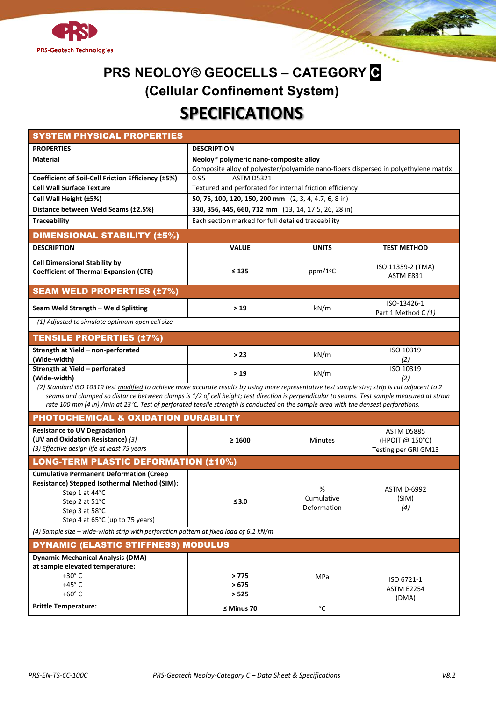



| <b>SYSTEM PHYSICAL PROPERTIES</b>                                                                                                                                                                                                                                                   |                                                                                     |                      |                      |  |  |  |
|-------------------------------------------------------------------------------------------------------------------------------------------------------------------------------------------------------------------------------------------------------------------------------------|-------------------------------------------------------------------------------------|----------------------|----------------------|--|--|--|
| <b>PROPERTIES</b>                                                                                                                                                                                                                                                                   | <b>DESCRIPTION</b>                                                                  |                      |                      |  |  |  |
| <b>Material</b>                                                                                                                                                                                                                                                                     | Neoloy <sup>®</sup> polymeric nano-composite alloy                                  |                      |                      |  |  |  |
|                                                                                                                                                                                                                                                                                     | Composite alloy of polyester/polyamide nano-fibers dispersed in polyethylene matrix |                      |                      |  |  |  |
| Coefficient of Soil-Cell Friction Efficiency (±5%)                                                                                                                                                                                                                                  | 0.95<br><b>ASTM D5321</b>                                                           |                      |                      |  |  |  |
| <b>Cell Wall Surface Texture</b>                                                                                                                                                                                                                                                    | Textured and perforated for internal friction efficiency                            |                      |                      |  |  |  |
| Cell Wall Height (±5%)                                                                                                                                                                                                                                                              | 50, 75, 100, 120, 150, 200 mm (2, 3, 4, 4.7, 6, 8 in)                               |                      |                      |  |  |  |
| Distance between Weld Seams (±2.5%)                                                                                                                                                                                                                                                 | 330, 356, 445, 660, 712 mm (13, 14, 17.5, 26, 28 in)                                |                      |                      |  |  |  |
| <b>Traceability</b>                                                                                                                                                                                                                                                                 | Each section marked for full detailed traceability                                  |                      |                      |  |  |  |
| <b>DIMENSIONAL STABILITY (±5%)</b>                                                                                                                                                                                                                                                  |                                                                                     |                      |                      |  |  |  |
| <b>DESCRIPTION</b>                                                                                                                                                                                                                                                                  | <b>VALUE</b>                                                                        | <b>UNITS</b>         | <b>TEST METHOD</b>   |  |  |  |
| <b>Cell Dimensional Stability by</b>                                                                                                                                                                                                                                                |                                                                                     |                      | ISO 11359-2 (TMA)    |  |  |  |
| <b>Coefficient of Thermal Expansion (CTE)</b>                                                                                                                                                                                                                                       | $\leq 135$                                                                          | ppm/1 <sup>o</sup> C | ASTM E831            |  |  |  |
| <b>SEAM WELD PROPERTIES (±7%)</b>                                                                                                                                                                                                                                                   |                                                                                     |                      |                      |  |  |  |
| Seam Weld Strength - Weld Splitting                                                                                                                                                                                                                                                 | >19                                                                                 | kN/m                 | ISO-13426-1          |  |  |  |
| (1) Adjusted to simulate optimum open cell size                                                                                                                                                                                                                                     |                                                                                     |                      | Part 1 Method C (1)  |  |  |  |
|                                                                                                                                                                                                                                                                                     |                                                                                     |                      |                      |  |  |  |
| <b>TENSILE PROPERTIES (±7%)</b>                                                                                                                                                                                                                                                     |                                                                                     |                      |                      |  |  |  |
| Strength at Yield - non-perforated<br>(Wide-width)                                                                                                                                                                                                                                  | > 23                                                                                | kN/m                 | ISO 10319<br>(2)     |  |  |  |
| Strength at Yield - perforated                                                                                                                                                                                                                                                      | >19                                                                                 | kN/m                 | ISO 10319            |  |  |  |
| (Wide-width)                                                                                                                                                                                                                                                                        |                                                                                     |                      | (2)                  |  |  |  |
| (2) Standard ISO 10319 test modified to achieve more accurate results by using more representative test sample size; strip is cut adjacent to 2                                                                                                                                     |                                                                                     |                      |                      |  |  |  |
| seams and clamped so distance between clamps is 1/2 of cell height; test direction is perpendicular to seams. Test sample measured at strain<br>rate 100 mm (4 in) /min at 23°C. Test of perforated tensile strength is conducted on the sample area with the densest perforations. |                                                                                     |                      |                      |  |  |  |
| PHOTOCHEMICAL & OXIDATION DURABILITY                                                                                                                                                                                                                                                |                                                                                     |                      |                      |  |  |  |
| <b>Resistance to UV Degradation</b>                                                                                                                                                                                                                                                 |                                                                                     |                      | ASTM D5885           |  |  |  |
| (UV and Oxidation Resistance) (3)                                                                                                                                                                                                                                                   | $\geq 1600$                                                                         | <b>Minutes</b>       | (HPOIT @ 150°C)      |  |  |  |
| (3) Effective design life at least 75 years                                                                                                                                                                                                                                         |                                                                                     |                      | Testing per GRI GM13 |  |  |  |
| <b>LONG-TERM PLASTIC DEFORMATION (±10%)</b>                                                                                                                                                                                                                                         |                                                                                     |                      |                      |  |  |  |
| <b>Cumulative Permanent Deformation (Creep</b>                                                                                                                                                                                                                                      |                                                                                     |                      |                      |  |  |  |
| Resistance) Stepped Isothermal Method (SIM):                                                                                                                                                                                                                                        |                                                                                     | %                    | <b>ASTM D-6992</b>   |  |  |  |
| Step 1 at 44°C                                                                                                                                                                                                                                                                      |                                                                                     | Cumulative           | (SIM)                |  |  |  |
| Step 2 at 51°C                                                                                                                                                                                                                                                                      | $\leq 3.0$                                                                          | Deformation          | (4)                  |  |  |  |
| Step 3 at 58°C                                                                                                                                                                                                                                                                      |                                                                                     |                      |                      |  |  |  |
| Step 4 at 65°C (up to 75 years)                                                                                                                                                                                                                                                     |                                                                                     |                      |                      |  |  |  |
| (4) Sample size - wide-width strip with perforation pattern at fixed load of 6.1 kN/m                                                                                                                                                                                               |                                                                                     |                      |                      |  |  |  |
| <b>DYNAMIC (ELASTIC STIFFNESS) MODULUS</b>                                                                                                                                                                                                                                          |                                                                                     |                      |                      |  |  |  |
| <b>Dynamic Mechanical Analysis (DMA)</b>                                                                                                                                                                                                                                            |                                                                                     |                      |                      |  |  |  |
| at sample elevated temperature:                                                                                                                                                                                                                                                     |                                                                                     |                      |                      |  |  |  |
| $+30^\circ$ C<br>$+45^\circ$ C                                                                                                                                                                                                                                                      | >775<br>>675                                                                        | MPa                  | ISO 6721-1           |  |  |  |
| $+60^\circ$ C                                                                                                                                                                                                                                                                       | > 525                                                                               |                      | <b>ASTM E2254</b>    |  |  |  |
| <b>Brittle Temperature:</b>                                                                                                                                                                                                                                                         |                                                                                     |                      | (DMA)                |  |  |  |
|                                                                                                                                                                                                                                                                                     | $\leq$ Minus 70                                                                     | °C                   |                      |  |  |  |